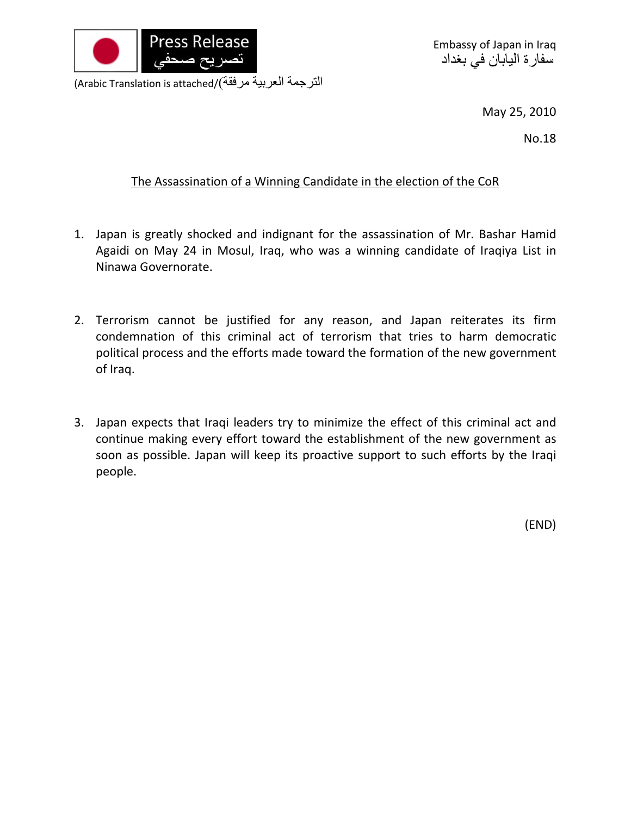

Embassy of Japan in Iraq سفارة اليابان في بغداد

(Arabic Translation is attached/(مرفقة العربية الترجمة

May 25, 2010

No.18

## The Assassination of a Winning Candidate in the election of the CoR

- 1. Japan is greatly shocked and indignant for the assassination of Mr. Bashar Hamid Agaidi on May 24 in Mosul, Iraq, who was a winning candidate of Iraqiya List in Ninawa Governorate.
- 2. Terrorism cannot be justified for any reason, and Japan reiterates its firm condemnation of this criminal act of terrorism that tries to harm democratic political process and the efforts made toward the formation of the new government of Iraq.
- 3. Japan expects that Iraqi leaders try to minimize the effect of this criminal act and continue making every effort toward the establishment of the new government as soon as possible. Japan will keep its proactive support to such efforts by the Iraqi people.

(END)